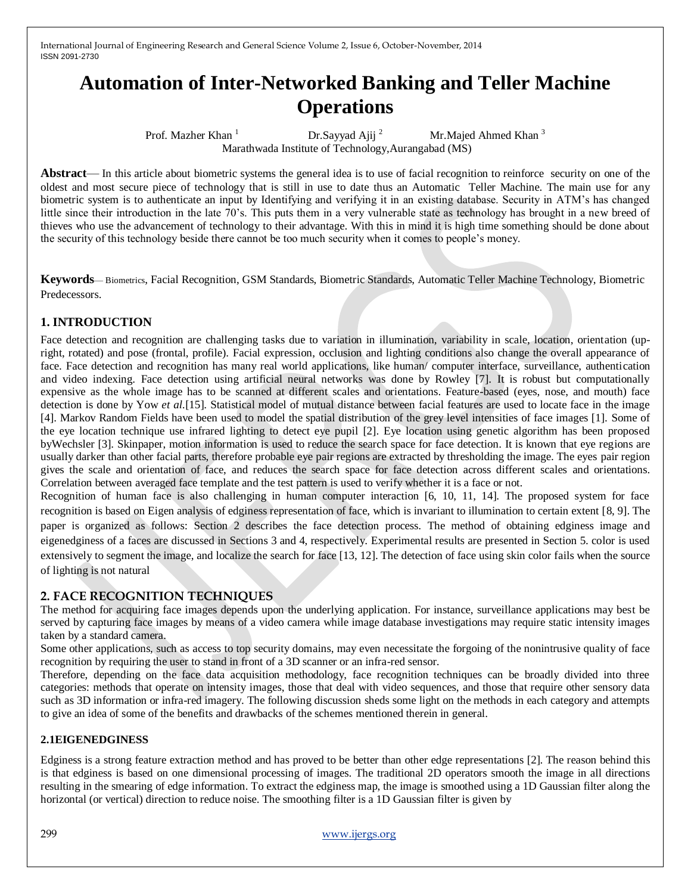# **Automation of Inter-Networked Banking and Teller Machine Operations**

Prof. Mazher Khan 1 Dr.Sayyad Ajij 2 Mr.Majed Ahmed Khan 3 Marathwada Institute of Technology,Aurangabad (MS)

**Abstract**— In this article about biometric systems the general idea is to use of facial recognition to reinforce security on one of the oldest and most secure piece of technology that is still in use to date thus an Automatic Teller Machine. The main use for any biometric system is to authenticate an input by Identifying and verifying it in an existing database. Security in ATM's has changed little since their introduction in the late 70's. This puts them in a very vulnerable state as technology has brought in a new breed of thieves who use the advancement of technology to their advantage. With this in mind it is high time something should be done about the security of this technology beside there cannot be too much security when it comes to people's money.

**Keywords**— Biometrics, Facial Recognition, GSM Standards, Biometric Standards, Automatic Teller Machine Technology, Biometric Predecessors.

### **1. INTRODUCTION**

Face detection and recognition are challenging tasks due to variation in illumination, variability in scale, location, orientation (upright, rotated) and pose (frontal, profile). Facial expression, occlusion and lighting conditions also change the overall appearance of face. Face detection and recognition has many real world applications, like human/ computer interface, surveillance, authentication and video indexing. Face detection using artificial neural networks was done by Rowley [7]. It is robust but computationally expensive as the whole image has to be scanned at different scales and orientations. Feature-based (eyes, nose, and mouth) face detection is done by Yow *et al.*[15]. Statistical model of mutual distance between facial features are used to locate face in the image [4]. Markov Random Fields have been used to model the spatial distribution of the grey level intensities of face images [1]. Some of the eye location technique use infrared lighting to detect eye pupil [2]. Eye location using genetic algorithm has been proposed byWechsler [3]. Skinpaper, motion information is used to reduce the search space for face detection. It is known that eye regions are usually darker than other facial parts, therefore probable eye pair regions are extracted by thresholding the image. The eyes pair region gives the scale and orientation of face, and reduces the search space for face detection across different scales and orientations. Correlation between averaged face template and the test pattern is used to verify whether it is a face or not.

Recognition of human face is also challenging in human computer interaction [6, 10, 11, 14]. The proposed system for face recognition is based on Eigen analysis of edginess representation of face, which is invariant to illumination to certain extent [8, 9]. The paper is organized as follows: Section 2 describes the face detection process. The method of obtaining edginess image and eigenedginess of a faces are discussed in Sections 3 and 4, respectively. Experimental results are presented in Section 5. color is used extensively to segment the image, and localize the search for face [13, 12]. The detection of face using skin color fails when the source of lighting is not natural

### **2. FACE RECOGNITION TECHNIQUES**

The method for acquiring face images depends upon the underlying application. For instance, surveillance applications may best be served by capturing face images by means of a video camera while image database investigations may require static intensity images taken by a standard camera.

Some other applications, such as access to top security domains, may even necessitate the forgoing of the nonintrusive quality of face recognition by requiring the user to stand in front of a 3D scanner or an infra-red sensor.

Therefore, depending on the face data acquisition methodology, face recognition techniques can be broadly divided into three categories: methods that operate on intensity images, those that deal with video sequences, and those that require other sensory data such as 3D information or infra-red imagery. The following discussion sheds some light on the methods in each category and attempts to give an idea of some of the benefits and drawbacks of the schemes mentioned therein in general.

#### **2.1EIGENEDGINESS**

Edginess is a strong feature extraction method and has proved to be better than other edge representations [2]. The reason behind this is that edginess is based on one dimensional processing of images. The traditional 2D operators smooth the image in all directions resulting in the smearing of edge information. To extract the edginess map, the image is smoothed using a 1D Gaussian filter along the horizontal (or vertical) direction to reduce noise. The smoothing filter is a 1D Gaussian filter is given by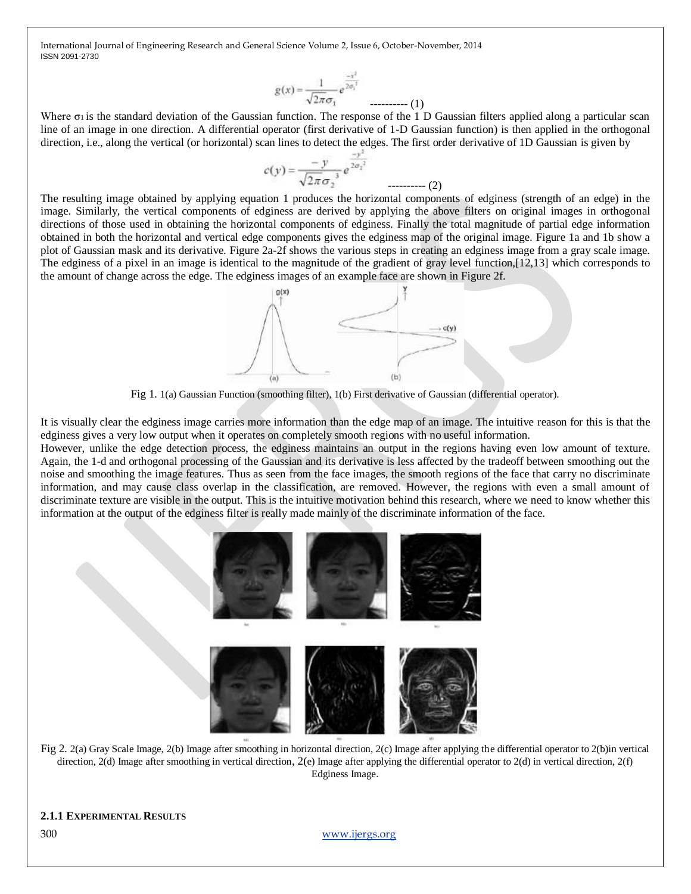$$
g(x) = \frac{1}{\sqrt{2\pi}\sigma_1} e^{\frac{-x^2}{2\sigma_1^2}}
$$
........(1)

Where σι is the standard deviation of the Gaussian function. The response of the 1 D Gaussian filters applied along a particular scan line of an image in one direction. A differential operator (first derivative of 1-D Gaussian function) is then applied in the orthogonal direction, i.e., along the vertical (or horizontal) scan lines to detect the edges. The first order derivative of 1D Gaussian is given by

$$
c(y) = \frac{-y}{\sqrt{2\pi}\sigma_2^3} e^{\frac{-y^2}{2\sigma_2^3}}
$$

The resulting image obtained by applying equation 1 produces the horizontal components of edginess (strength of an edge) in the image. Similarly, the vertical components of edginess are derived by applying the above filters on original images in orthogonal directions of those used in obtaining the horizontal components of edginess. Finally the total magnitude of partial edge information obtained in both the horizontal and vertical edge components gives the edginess map of the original image. Figure 1a and 1b show a plot of Gaussian mask and its derivative. Figure 2a-2f shows the various steps in creating an edginess image from a gray scale image. The edginess of a pixel in an image is identical to the magnitude of the gradient of gray level function,[12,13] which corresponds to the amount of change across the edge. The edginess images of an example face are shown in Figure 2f.



Fig 1. 1(a) Gaussian Function (smoothing filter), 1(b) First derivative of Gaussian (differential operator).

It is visually clear the edginess image carries more information than the edge map of an image. The intuitive reason for this is that the edginess gives a very low output when it operates on completely smooth regions with no useful information.

However, unlike the edge detection process, the edginess maintains an output in the regions having even low amount of texture. Again, the 1-d and orthogonal processing of the Gaussian and its derivative is less affected by the tradeoff between smoothing out the noise and smoothing the image features. Thus as seen from the face images, the smooth regions of the face that carry no discriminate information, and may cause class overlap in the classification, are removed. However, the regions with even a small amount of discriminate texture are visible in the output. This is the intuitive motivation behind this research, where we need to know whether this information at the output of the edginess filter is really made mainly of the discriminate information of the face.



Fig 2. 2(a) Gray Scale Image, 2(b) Image after smoothing in horizontal direction, 2(c) Image after applying the differential operator to 2(b)in vertical direction, 2(d) Image after smoothing in vertical direction, 2(e) Image after applying the differential operator to 2(d) in vertical direction, 2(f) Edginess Image.

300 [www.ijergs.org](http://www.ijergs.org/)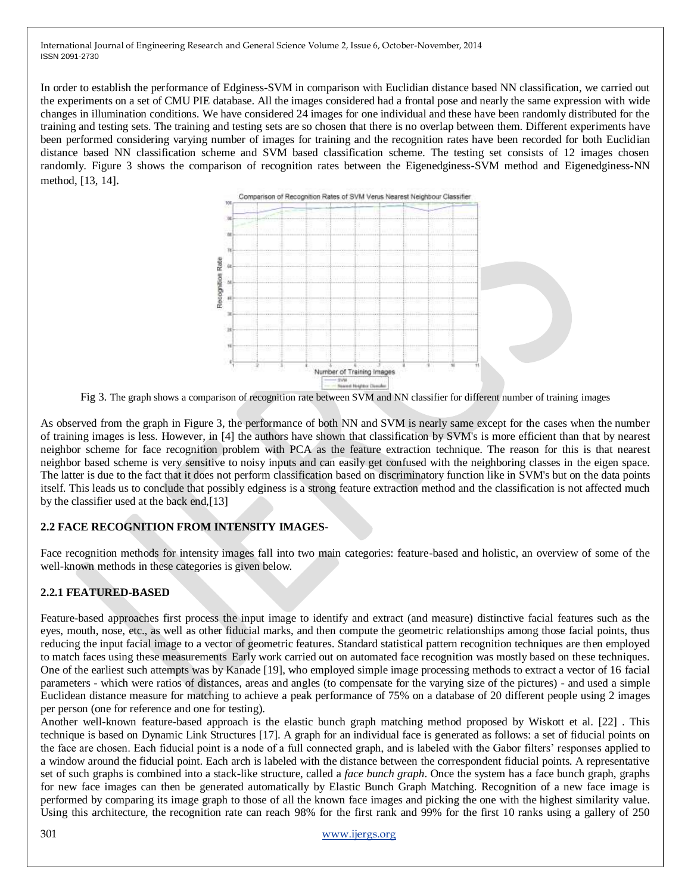In order to establish the performance of Edginess-SVM in comparison with Euclidian distance based NN classification, we carried out the experiments on a set of CMU PIE database. All the images considered had a frontal pose and nearly the same expression with wide changes in illumination conditions. We have considered 24 images for one individual and these have been randomly distributed for the training and testing sets. The training and testing sets are so chosen that there is no overlap between them. Different experiments have been performed considering varying number of images for training and the recognition rates have been recorded for both Euclidian distance based NN classification scheme and SVM based classification scheme. The testing set consists of 12 images chosen randomly. Figure 3 shows the comparison of recognition rates between the Eigenedginess-SVM method and Eigenedginess-NN method, [13, 14].



Fig 3. The graph shows a comparison of recognition rate between SVM and NN classifier for different number of training images

As observed from the graph in Figure 3, the performance of both NN and SVM is nearly same except for the cases when the number of training images is less. However, in [4] the authors have shown that classification by SVM's is more efficient than that by nearest neighbor scheme for face recognition problem with PCA as the feature extraction technique. The reason for this is that nearest neighbor based scheme is very sensitive to noisy inputs and can easily get confused with the neighboring classes in the eigen space. The latter is due to the fact that it does not perform classification based on discriminatory function like in SVM's but on the data points itself. This leads us to conclude that possibly edginess is a strong feature extraction method and the classification is not affected much by the classifier used at the back end,[13]

#### **2.2 FACE RECOGNITION FROM INTENSITY IMAGES**-

Face recognition methods for intensity images fall into two main categories: feature-based and holistic, an overview of some of the well-known methods in these categories is given below.

# **2.2.1 FEATURED-BASED**

Feature-based approaches first process the input image to identify and extract (and measure) distinctive facial features such as the eyes, mouth, nose, etc., as well as other fiducial marks, and then compute the geometric relationships among those facial points, thus reducing the input facial image to a vector of geometric features. Standard statistical pattern recognition techniques are then employed to match faces using these measurements Early work carried out on automated face recognition was mostly based on these techniques. One of the earliest such attempts was by Kanade [19], who employed simple image processing methods to extract a vector of 16 facial parameters - which were ratios of distances, areas and angles (to compensate for the varying size of the pictures) - and used a simple Euclidean distance measure for matching to achieve a peak performance of 75% on a database of 20 different people using 2 images per person (one for reference and one for testing).

Another well-known feature-based approach is the elastic bunch graph matching method proposed by Wiskott et al. [22] . This technique is based on Dynamic Link Structures [17]. A graph for an individual face is generated as follows: a set of fiducial points on the face are chosen. Each fiducial point is a node of a full connected graph, and is labeled with the Gabor filters' responses applied to a window around the fiducial point. Each arch is labeled with the distance between the correspondent fiducial points. A representative set of such graphs is combined into a stack-like structure, called a *face bunch graph*. Once the system has a face bunch graph, graphs for new face images can then be generated automatically by Elastic Bunch Graph Matching. Recognition of a new face image is performed by comparing its image graph to those of all the known face images and picking the one with the highest similarity value. Using this architecture, the recognition rate can reach 98% for the first rank and 99% for the first 10 ranks using a gallery of 250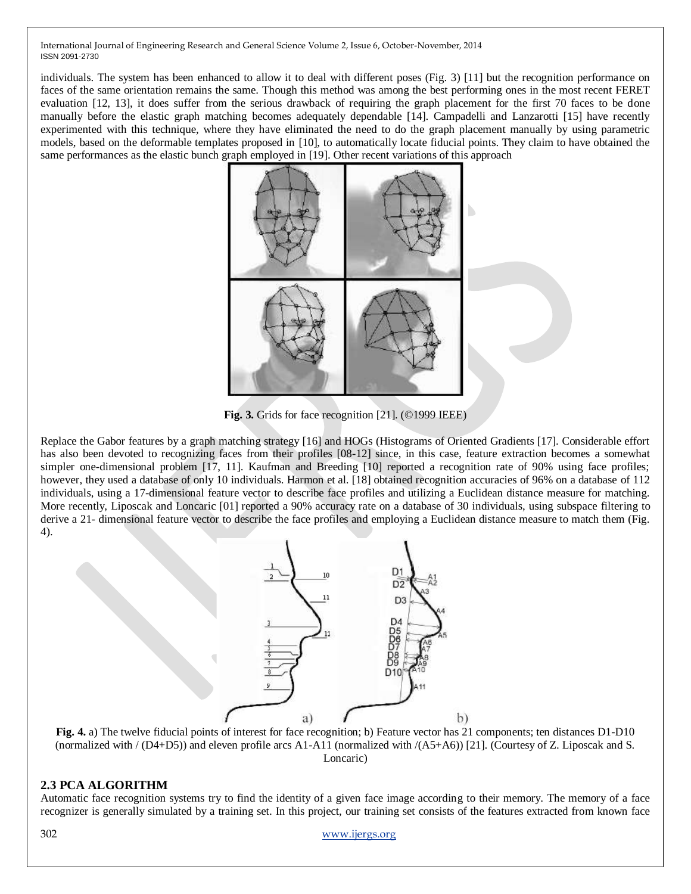individuals. The system has been enhanced to allow it to deal with different poses (Fig. 3) [11] but the recognition performance on faces of the same orientation remains the same. Though this method was among the best performing ones in the most recent FERET evaluation [12, 13], it does suffer from the serious drawback of requiring the graph placement for the first 70 faces to be done manually before the elastic graph matching becomes adequately dependable [14]. Campadelli and Lanzarotti [15] have recently experimented with this technique, where they have eliminated the need to do the graph placement manually by using parametric models, based on the deformable templates proposed in [10], to automatically locate fiducial points. They claim to have obtained the same performances as the elastic bunch graph employed in [19]. Other recent variations of this approach



**Fig. 3.** Grids for face recognition [21]. (©1999 IEEE)

Replace the Gabor features by a graph matching strategy [16] and HOGs (Histograms of Oriented Gradients [17]. Considerable effort has also been devoted to recognizing faces from their profiles [08-12] since, in this case, feature extraction becomes a somewhat simpler one-dimensional problem [17, 11]. Kaufman and Breeding [10] reported a recognition rate of 90% using face profiles; however, they used a database of only 10 individuals. Harmon et al. [18] obtained recognition accuracies of 96% on a database of 112 individuals, using a 17-dimensional feature vector to describe face profiles and utilizing a Euclidean distance measure for matching. More recently, Liposcak and Loncaric [01] reported a 90% accuracy rate on a database of 30 individuals, using subspace filtering to derive a 21- dimensional feature vector to describe the face profiles and employing a Euclidean distance measure to match them (Fig. 4).



**Fig. 4.** a) The twelve fiducial points of interest for face recognition; b) Feature vector has 21 components; ten distances D1-D10 (normalized with  $/(D4+D5)$ ) and eleven profile arcs A1-A11 (normalized with  $/(A5+A6)$ ) [21]. (Courtesy of Z. Liposcak and S. Loncaric)

# **2.3 PCA ALGORITHM**

Automatic face recognition systems try to find the identity of a given face image according to their memory. The memory of a face recognizer is generally simulated by a training set. In this project, our training set consists of the features extracted from known face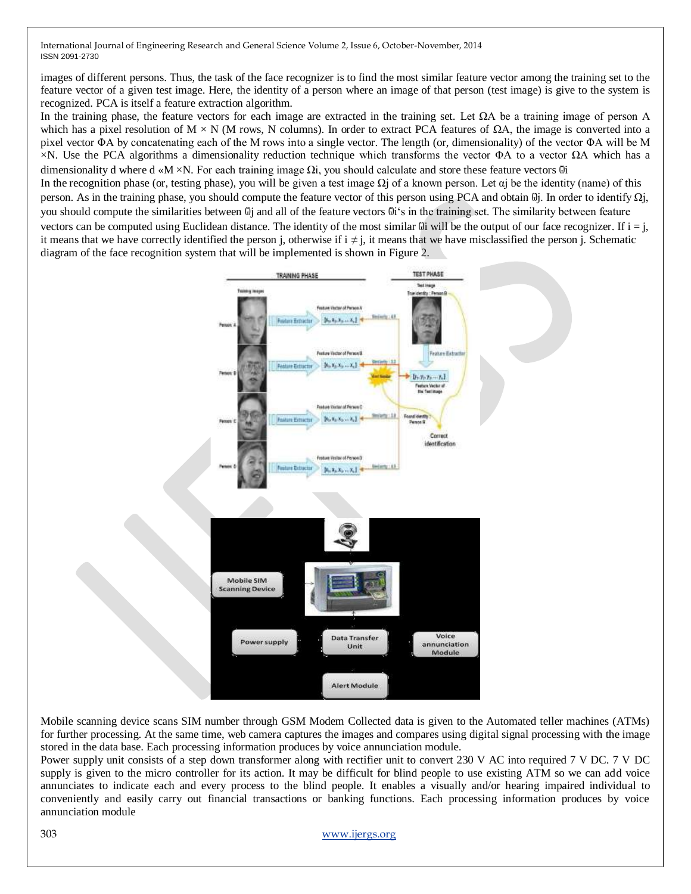images of different persons. Thus, the task of the face recognizer is to find the most similar feature vector among the training set to the feature vector of a given test image. Here, the identity of a person where an image of that person (test image) is give to the system is recognized. PCA is itself a feature extraction algorithm.

In the training phase, the feature vectors for each image are extracted in the training set. Let  $\Omega A$  be a training image of person A which has a pixel resolution of  $M \times N$  (M rows, N columns). In order to extract PCA features of  $\Omega A$ , the image is converted into a pixel vector ΦA by concatenating each of the M rows into a single vector. The length (or, dimensionality) of the vector ΦA will be M  $×N$ . Use the PCA algorithms a dimensionality reduction technique which transforms the vector ΦA to a vector  $ΩA$  which has a dimensionality d where d «M ×N. For each training image  $\Omega$ i, you should calculate and store these feature vectors  $\ddot{\omega}$ i In the recognition phase (or, testing phase), you will be given a test image  $\Omega$  of a known person. Let  $\alpha$  be the identity (name) of this person. As in the training phase, you should compute the feature vector of this person using PCA and obtain  $\mathbb{G}$ j. In order to identify  $\Omega$ j, you should compute the similarities between  $\mathbb{G}$  and all of the feature vectors  $\mathbb{G}$ i's in the training set. The similarity between feature

vectors can be computed using Euclidean distance. The identity of the most similar  $\ddot{\omega}$  will be the output of our face recognizer. If  $i = j$ , it means that we have correctly identified the person j, otherwise if  $i \neq j$ , it means that we have misclassified the person j. Schematic diagram of the face recognition system that will be implemented is shown in Figure 2.



Mobile scanning device scans SIM number through GSM Modem Collected data is given to the Automated teller machines (ATMs) for further processing. At the same time, web camera captures the images and compares using digital signal processing with the image stored in the data base. Each processing information produces by voice annunciation module.

Power supply unit consists of a step down transformer along with rectifier unit to convert 230 V AC into required 7 V DC. 7 V DC supply is given to the micro controller for its action. It may be difficult for blind people to use existing ATM so we can add voice annunciates to indicate each and every process to the blind people. It enables a visually and/or hearing impaired individual to conveniently and easily carry out financial transactions or banking functions. Each processing information produces by voice annunciation module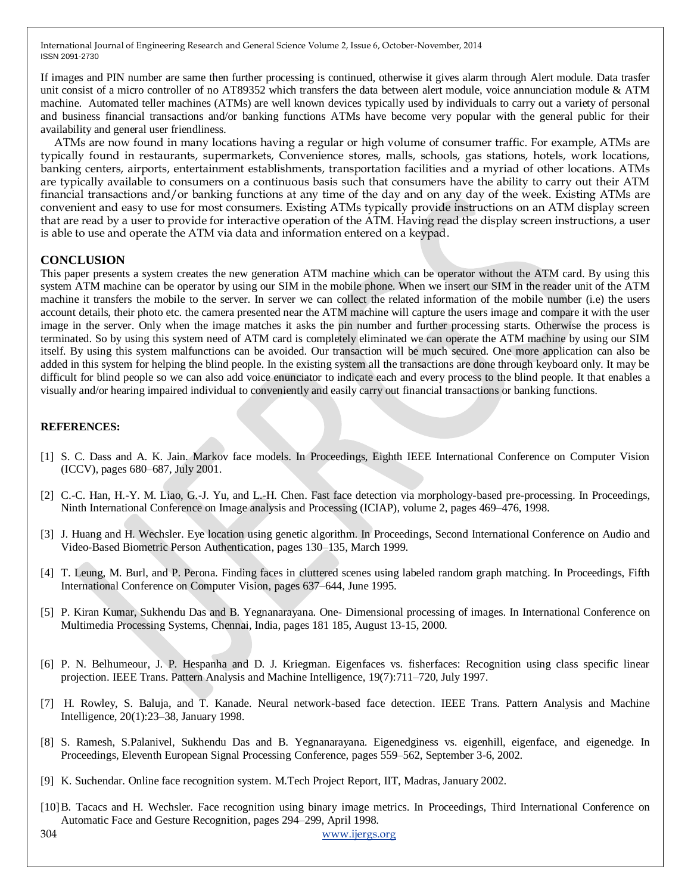If images and PIN number are same then further processing is continued, otherwise it gives alarm through Alert module. Data trasfer unit consist of a micro controller of no AT89352 which transfers the data between alert module, voice annunciation module & ATM machine. Automated teller machines (ATMs) are well known devices typically used by individuals to carry out a variety of personal and business financial transactions and/or banking functions ATMs have become very popular with the general public for their availability and general user friendliness.

ATMs are now found in many locations having a regular or high volume of consumer traffic. For example, ATMs are typically found in restaurants, supermarkets, Convenience stores, malls, schools, gas stations, hotels, work locations, banking centers, airports, entertainment establishments, transportation facilities and a myriad of other locations. ATMs are typically available to consumers on a continuous basis such that consumers have the ability to carry out their ATM financial transactions and/or banking functions at any time of the day and on any day of the week. Existing ATMs are convenient and easy to use for most consumers. Existing ATMs typically provide instructions on an ATM display screen that are read by a user to provide for interactive operation of the ATM. Having read the display screen instructions, a user is able to use and operate the ATM via data and information entered on a keypad.

#### **CONCLUSION**

This paper presents a system creates the new generation ATM machine which can be operator without the ATM card. By using this system ATM machine can be operator by using our SIM in the mobile phone. When we insert our SIM in the reader unit of the ATM machine it transfers the mobile to the server. In server we can collect the related information of the mobile number (i.e) the users account details, their photo etc. the camera presented near the ATM machine will capture the users image and compare it with the user image in the server. Only when the image matches it asks the pin number and further processing starts. Otherwise the process is terminated. So by using this system need of ATM card is completely eliminated we can operate the ATM machine by using our SIM itself. By using this system malfunctions can be avoided. Our transaction will be much secured. One more application can also be added in this system for helping the blind people. In the existing system all the transactions are done through keyboard only. It may be difficult for blind people so we can also add voice enunciator to indicate each and every process to the blind people. It that enables a visually and/or hearing impaired individual to conveniently and easily carry out financial transactions or banking functions.

#### **REFERENCES:**

- [1] S. C. Dass and A. K. Jain. Markov face models. In Proceedings, Eighth IEEE International Conference on Computer Vision (ICCV), pages 680–687, July 2001.
- [2] C.-C. Han, H.-Y. M. Liao, G.-J. Yu, and L.-H. Chen. Fast face detection via morphology-based pre-processing. In Proceedings, Ninth International Conference on Image analysis and Processing (ICIAP), volume 2, pages 469–476, 1998.
- [3] J. Huang and H. Wechsler. Eye location using genetic algorithm. In Proceedings, Second International Conference on Audio and Video-Based Biometric Person Authentication, pages 130–135, March 1999.
- [4] T. Leung, M. Burl, and P. Perona. Finding faces in cluttered scenes using labeled random graph matching. In Proceedings, Fifth International Conference on Computer Vision, pages 637–644, June 1995.
- [5] P. Kiran Kumar, Sukhendu Das and B. Yegnanarayana. One- Dimensional processing of images. In International Conference on Multimedia Processing Systems, Chennai, India, pages 181 185, August 13-15, 2000.
- [6] P. N. Belhumeour, J. P. Hespanha and D. J. Kriegman. Eigenfaces vs. fisherfaces: Recognition using class specific linear projection. IEEE Trans. Pattern Analysis and Machine Intelligence, 19(7):711–720, July 1997.
- [7] H. Rowley, S. Baluja, and T. Kanade. Neural network-based face detection. IEEE Trans. Pattern Analysis and Machine Intelligence, 20(1):23–38, January 1998.
- [8] S. Ramesh, S.Palanivel, Sukhendu Das and B. Yegnanarayana. Eigenedginess vs. eigenhill, eigenface, and eigenedge. In Proceedings, Eleventh European Signal Processing Conference, pages 559–562, September 3-6, 2002.
- [9] K. Suchendar. Online face recognition system. M.Tech Project Report, IIT, Madras, January 2002.
- [10]B. Tacacs and H. Wechsler. Face recognition using binary image metrics. In Proceedings, Third International Conference on Automatic Face and Gesture Recognition, pages 294–299, April 1998.

304 [www.ijergs.org](http://www.ijergs.org/)